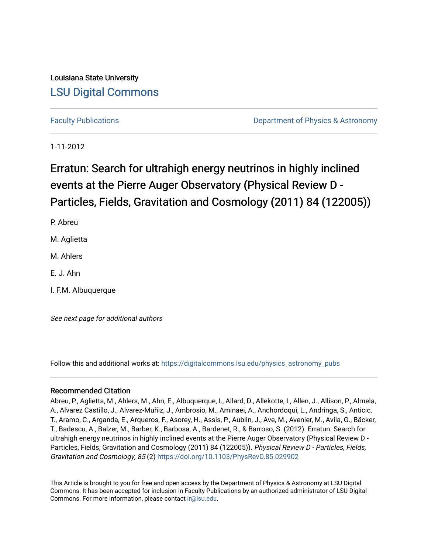# Louisiana State University [LSU Digital Commons](https://digitalcommons.lsu.edu/)

[Faculty Publications](https://digitalcommons.lsu.edu/physics_astronomy_pubs) **Example 2** Constant Department of Physics & Astronomy

1-11-2012

# Erratun: Search for ultrahigh energy neutrinos in highly inclined events at the Pierre Auger Observatory (Physical Review D -Particles, Fields, Gravitation and Cosmology (2011) 84 (122005))

P. Abreu

M. Aglietta

M. Ahlers

E. J. Ahn

I. F.M. Albuquerque

See next page for additional authors

Follow this and additional works at: [https://digitalcommons.lsu.edu/physics\\_astronomy\\_pubs](https://digitalcommons.lsu.edu/physics_astronomy_pubs?utm_source=digitalcommons.lsu.edu%2Fphysics_astronomy_pubs%2F3269&utm_medium=PDF&utm_campaign=PDFCoverPages) 

# Recommended Citation

Abreu, P., Aglietta, M., Ahlers, M., Ahn, E., Albuquerque, I., Allard, D., Allekotte, I., Allen, J., Allison, P., Almela, A., Alvarez Castillo, J., Alvarez-Muñiz, J., Ambrosio, M., Aminaei, A., Anchordoqui, L., Andringa, S., Anticic, T., Aramo, C., Arganda, E., Arqueros, F., Asorey, H., Assis, P., Aublin, J., Ave, M., Avenier, M., Avila, G., Bäcker, T., Badescu, A., Balzer, M., Barber, K., Barbosa, A., Bardenet, R., & Barroso, S. (2012). Erratun: Search for ultrahigh energy neutrinos in highly inclined events at the Pierre Auger Observatory (Physical Review D - Particles, Fields, Gravitation and Cosmology (2011) 84 (122005)). Physical Review D - Particles, Fields, Gravitation and Cosmology, 85 (2)<https://doi.org/10.1103/PhysRevD.85.029902>

This Article is brought to you for free and open access by the Department of Physics & Astronomy at LSU Digital Commons. It has been accepted for inclusion in Faculty Publications by an authorized administrator of LSU Digital Commons. For more information, please contact [ir@lsu.edu](mailto:ir@lsu.edu).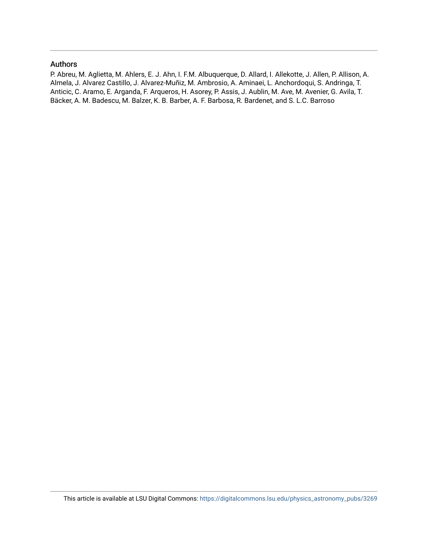# Authors

P. Abreu, M. Aglietta, M. Ahlers, E. J. Ahn, I. F.M. Albuquerque, D. Allard, I. Allekotte, J. Allen, P. Allison, A. Almela, J. Alvarez Castillo, J. Alvarez-Muñiz, M. Ambrosio, A. Aminaei, L. Anchordoqui, S. Andringa, T. Anticic, C. Aramo, E. Arganda, F. Arqueros, H. Asorey, P. Assis, J. Aublin, M. Ave, M. Avenier, G. Avila, T. Bäcker, A. M. Badescu, M. Balzer, K. B. Barber, A. F. Barbosa, R. Bardenet, and S. L.C. Barroso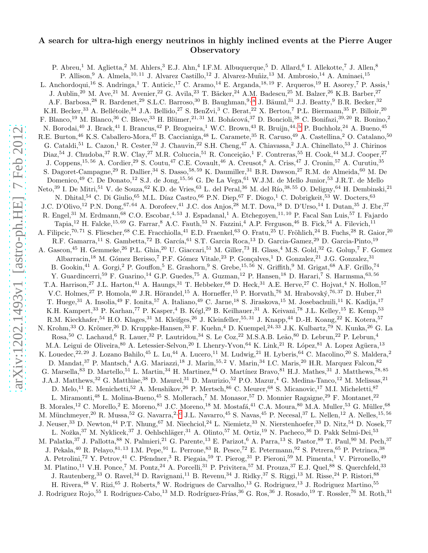# A search for ultra-high energy neutrinos in highly inclined events at the Pierre Auger **Observatory**

P. Abreu,<sup>1</sup> M. Aglietta,<sup>2</sup> M. Ahlers,<sup>3</sup> E.J. Ahn,<sup>4</sup> I.F.M. Albuquerque,<sup>5</sup> D. Allard,<sup>6</sup> I. Allekotte,<sup>7</sup> J. Allen,<sup>8</sup> P. Allison,<sup>9</sup> A. Almela,<sup>10, 11</sup> J. Alvarez Castillo,<sup>12</sup> J. Alvarez-Muñiz,<sup>13</sup> M. Ambrosio,<sup>14</sup> A. Aminaei,<sup>15</sup> L. Anchordoqui,<sup>16</sup> S. Andringa,<sup>1</sup> T. Anticic,<sup>17</sup> C. Aramo,<sup>14</sup> E. Arganda,<sup>18,19</sup> F. Arqueros,<sup>19</sup> H. Asorey,<sup>7</sup> P. Assis,<sup>1</sup> J. Aublin,<sup>20</sup> M. Ave,<sup>21</sup> M. Avenier,<sup>22</sup> G. Avila,<sup>23</sup> T. Bäcker,<sup>24</sup> A.M. Badescu,<sup>25</sup> M. Balzer,<sup>26</sup> K.B. Barber,<sup>27</sup> A.F. Barbosa,<sup>28</sup> R. Bardenet,<sup>29</sup> S.L.C. Barroso,<sup>30</sup> B. Baughman,<sup>9, [a](#page-5-0)</sup> J. Bäuml,<sup>31</sup> J.J. Beatty,<sup>9</sup> B.R. Becker,<sup>32</sup> K.H. Becker,<sup>33</sup> A. Bellétoile,<sup>34</sup> J.A. Bellido,<sup>27</sup> S. BenZvi,<sup>3</sup> C. Berat,<sup>22</sup> X. Bertou,<sup>7</sup> P.L. Biermann,<sup>35</sup> P. Billoir,<sup>20</sup> F. Blanco,<sup>19</sup> M. Blanco,<sup>36</sup> C. Bleve,<sup>33</sup> H. Blümer,<sup>21,31</sup> M. Bohácová,<sup>37</sup> D. Boncioli,<sup>38</sup> C. Bonifazi,<sup>39,20</sup> R. Bonino,<sup>2</sup> N. Borodai, <sup>40</sup> J. Brack, <sup>41</sup> I. Brancus, <sup>42</sup> P. Brogueira, <sup>1</sup> W.C. Brown, <sup>43</sup> R. Bruijn, <sup>44, [b](#page-5-1)</sup> P. Buchholz, <sup>24</sup> A. Bueno, <sup>45</sup> R.E. Burton,<sup>46</sup> K.S. Caballero-Mora,<sup>47</sup> B. Caccianiga,<sup>48</sup> L. Caramete,<sup>35</sup> R. Caruso,<sup>49</sup> A. Castellina,<sup>2</sup> O. Catalano,<sup>50</sup> G. Cataldi,<sup>51</sup> L. Cazon,<sup>1</sup> R. Cester,<sup>52</sup> J. Chauvin,<sup>22</sup> S.H. Cheng,<sup>47</sup> A. Chiavassa,<sup>2</sup> J.A. Chinellato,<sup>53</sup> J. Chirinos Diaz,<sup>54</sup> J. Chudoba,<sup>37</sup> R.W. Clay,<sup>27</sup> M.R. Coluccia,<sup>51</sup> R. Conceição,<sup>1</sup> F. Contreras,<sup>55</sup> H. Cook,<sup>44</sup> M.J. Cooper,<sup>27</sup> J. Coppens,<sup>15, 56</sup> A. Cordier,<sup>29</sup> S. Coutu,<sup>47</sup> C.E. Covault,<sup>46</sup> A. Creusot,<sup>6</sup> A. Criss,<sup>47</sup> J. Cronin,<sup>57</sup> A. Curutiu,<sup>35</sup> S. Dagoret-Campagne,<sup>29</sup> R. Dallier,<sup>34</sup> S. Dasso,<sup>58, 59</sup> K. Daumiller,<sup>31</sup> B.R. Dawson,<sup>27</sup> R.M. de Almeida,<sup>60</sup> M. De Domenico,<sup>49</sup> C. De Donato,<sup>12</sup> S.J. de Jong,<sup>15,56</sup> G. De La Vega,<sup>61</sup> W.J.M. de Mello Junior,<sup>53</sup> J.R.T. de Mello Neto,<sup>39</sup> I. De Mitri,<sup>51</sup> V. de Souza,<sup>62</sup> K.D. de Vries,<sup>63</sup> L. del Peral,<sup>36</sup> M. del Río,<sup>38,55</sup> O. Deligny,<sup>64</sup> H. Dembinski,<sup>21</sup> N. Dhital,<sup>54</sup> C. Di Giulio,<sup>65</sup> M.L. Díaz Castro,<sup>66</sup> P.N. Diep,<sup>67</sup> F. Diogo,<sup>1</sup> C. Dobrigkeit,<sup>53</sup> W. Docters,<sup>63</sup> J.C. D'Olivo,<sup>12</sup> P.N. Dong,<sup>67, 64</sup> A. Dorofeev,<sup>41</sup> J.C. dos Anjos,<sup>28</sup> M.T. Dova,<sup>18</sup> D. D'Urso,<sup>14</sup> I. Dutan,<sup>35</sup> J. Ebr,<sup>37</sup> R. Engel,<sup>31</sup> M. Erdmann,<sup>68</sup> C.O. Escobar,<sup>4,53</sup> J. Espadanal,<sup>1</sup> A. Etchegoyen,<sup>11, 10</sup> P. Facal San Luis,<sup>57</sup> I. Fajardo Tapia,<sup>12</sup> H. Falcke,<sup>15,69</sup> G. Farrar,<sup>8</sup> A.C. Fauth,<sup>53</sup> N. Fazzini,<sup>4</sup> A.P. Ferguson,<sup>46</sup> B. Fick,<sup>54</sup> A. Filevich,<sup>11</sup> A. Filipcic,<sup>70,71</sup> S. Fliescher,<sup>68</sup> C.E. Fracchiolla,<sup>41</sup> E.D. Fraenkel,<sup>63</sup> O. Fratu,<sup>25</sup> U. Fröhlich,<sup>24</sup> B. Fuchs,<sup>28</sup> R. Gaior,<sup>20</sup> R.F. Gamarra,<sup>11</sup> S. Gambetta,<sup>72</sup> B. García,<sup>61</sup> S.T. Garcia Roca,<sup>13</sup> D. Garcia-Gamez,<sup>29</sup> D. Garcia-Pinto,<sup>19</sup> A. Gascon,<sup>45</sup> H. Gemmeke,<sup>26</sup> P.L. Ghia,<sup>20</sup> U. Giaccari,<sup>51</sup> M. Giller,<sup>73</sup> H. Glass,<sup>4</sup> M.S. Gold,<sup>32</sup> G. Golup,<sup>7</sup> F. Gomez Albarracin,<sup>18</sup> M. Gómez Berisso,<sup>7</sup> P.F. Gómez Vitale,<sup>23</sup> P. Gonçalves,<sup>1</sup> D. Gonzalez,<sup>21</sup> J.G. Gonzalez,<sup>31</sup> B. Gookin,  $^{41}$  A. Gorgi, <sup>2</sup> P. Gouffon, <sup>5</sup> E. Grashorn, <sup>9</sup> S. Grebe, <sup>15, 56</sup> N. Griffith, <sup>9</sup> M. Grigat, <sup>68</sup> A.F. Grillo, <sup>74</sup> Y. Guardincerri,<sup>59</sup> F. Guarino,<sup>14</sup> G.P. Guedes,<sup>75</sup> A. Guzman,<sup>12</sup> P. Hansen,<sup>18</sup> D. Harari,<sup>7</sup> S. Harmsma,<sup>63,56</sup> T.A. Harrison,<sup>27</sup> J.L. Harton,<sup>41</sup> A. Haungs,<sup>31</sup> T. Hebbeker,<sup>68</sup> D. Heck,<sup>31</sup> A.E. Herve,<sup>27</sup> C. Hojvat,<sup>4</sup> N. Hollon,<sup>57</sup> V.C. Holmes,<sup>27</sup> P. Homola,<sup>40</sup> J.R. Hörandel,<sup>15</sup> A. Horneffer,<sup>15</sup> P. Horvath,<sup>76</sup> M. Hrabovský,<sup>76,37</sup> D. Huber,<sup>21</sup> T. Huege,<sup>31</sup> A. Insolia,<sup>49</sup> F. Ionita,<sup>57</sup> A. Italiano,<sup>49</sup> C. Jarne,<sup>18</sup> S. Jiraskova,<sup>15</sup> M. Josebachuili,<sup>11</sup> K. Kadija,<sup>17</sup> K.H. Kampert,<sup>33</sup> P. Karhan,<sup>77</sup> P. Kasper,<sup>4</sup> B. Kégl,<sup>29</sup> B. Keilhauer,<sup>31</sup> A. Keivani,<sup>78</sup> J.L. Kelley,<sup>15</sup> E. Kemp,<sup>53</sup> R.M. Kieckhafer,<sup>54</sup> H.O. Klages,<sup>31</sup> M. Kleifges,<sup>26</sup> J. Kleinfeller,<sup>55, 31</sup> J. Knapp,<sup>44</sup> D.-H. Koang,<sup>22</sup> K. Kotera,<sup>57</sup> N. Krohm,<sup>33</sup> O. Krömer,<sup>26</sup> D. Kruppke-Hansen,<sup>33</sup> F. Kuehn,<sup>4</sup> D. Kuempel,<sup>24, 33</sup> J.K. Kulbartz,<sup>79</sup> N. Kunka,<sup>26</sup> G. La Rosa,<sup>50</sup> C. Lachaud,<sup>6</sup> R. Lauer,<sup>32</sup> P. Lautridou,<sup>34</sup> S. Le Coz,<sup>22</sup> M.S.A.B. Leão,<sup>80</sup> D. Lebrun,<sup>22</sup> P. Lebrun,<sup>4</sup> M.A. Leigui de Oliveira, <sup>80</sup> A. Letessier-Selvon, <sup>20</sup> I. Lhenry-Yvon, <sup>64</sup> K. Link, <sup>21</sup> R. López, <sup>81</sup> A. Lopez Agüera, <sup>13</sup> K. Louedec,<sup>22, 29</sup> J. Lozano Bahilo,<sup>45</sup> L. Lu,<sup>44</sup> A. Lucero,<sup>11</sup> M. Ludwig,<sup>21</sup> H. Lyberis,<sup>64</sup> C. Macolino,<sup>20</sup> S. Maldera,<sup>2</sup> D. Mandat, <sup>37</sup> P. Mantsch, <sup>4</sup> A.G. Mariazzi, <sup>18</sup> J. Marin, <sup>55, 2</sup> V. Marin, <sup>34</sup> I.C. Maris, <sup>20</sup> H.R. Marquez Falcon, <sup>82</sup> G. Marsella,  $83$  D. Martello,  $51$  L. Martin,  $34$  H. Martinez,  $84$  O. Martínez Bravo,  $81$  H.J. Mathes,  $31$  J. Matthews,  $78,85$ J.A.J. Matthews,<sup>32</sup> G. Matthiae,<sup>38</sup> D. Maurel,<sup>31</sup> D. Maurizio,<sup>52</sup> P.O. Mazur,<sup>4</sup> G. Medina-Tanco,<sup>12</sup> M. Melissas,<sup>21</sup> D. Melo,<sup>11</sup> E. Menichetti,<sup>52</sup> A. Menshikov,<sup>26</sup> P. Mertsch,<sup>86</sup> C. Meurer,<sup>68</sup> S. Micanovic,<sup>17</sup> M.I. Micheletti,<sup>87</sup> L. Miramonti,<sup>48</sup> L. Molina-Bueno,<sup>45</sup> S. Mollerach,<sup>7</sup> M. Monasor,<sup>57</sup> D. Monnier Ragaigne,<sup>29</sup> F. Montanet,<sup>22</sup> B. Morales,<sup>12</sup> C. Morello,<sup>2</sup> E. Moreno,<sup>81</sup> J.C. Moreno,<sup>18</sup> M. Mostafá,<sup>41</sup> C.A. Moura,<sup>80</sup> M.A. Muller,<sup>53</sup> G. Müller,<sup>68</sup> M. Münchmeyer,<sup>20</sup> R. Mussa,<sup>52</sup> G. Navarra,<sup>2, [c](#page-5-2)</sup> J.L. Navarro,<sup>45</sup> S. Navas,<sup>45</sup> P. Necesal,<sup>37</sup> L. Nellen,<sup>12</sup> A. Nelles,<sup>15,56</sup> J. Neuser,<sup>33</sup> D. Newton,<sup>44</sup> P.T. Nhung,<sup>67</sup> M. Niechciol,<sup>24</sup> L. Niemietz,<sup>33</sup> N. Nierstenhoefer,<sup>33</sup> D. Nitz,<sup>54</sup> D. Nosek,<sup>77</sup> L. Nožka,<sup>37</sup> M. Nyklicek,<sup>37</sup> J. Oehlschläger,<sup>31</sup> A. Olinto,<sup>57</sup> M. Ortiz,<sup>19</sup> N. Pacheco,<sup>36</sup> D. Pakk Selmi-Dei,<sup>53</sup> M. Palatka,<sup>37</sup> J. Pallotta,<sup>88</sup> N. Palmieri,<sup>21</sup> G. Parente,<sup>13</sup> E. Parizot,<sup>6</sup> A. Parra,<sup>13</sup> S. Pastor,<sup>89</sup> T. Paul,<sup>90</sup> M. Pech,<sup>37</sup> J. Pekala,<sup>40</sup> R. Pelayo,<sup>81, 13</sup> I.M. Pepe,<sup>91</sup> L. Perrone,<sup>83</sup> R. Pesce,<sup>72</sup> E. Petermann,<sup>92</sup> S. Petrera,<sup>65</sup> P. Petrinca,<sup>38</sup> A. Petrolini,<sup>72</sup> Y. Petrov,<sup>41</sup> C. Pfendner,<sup>3</sup> R. Piegaia,<sup>59</sup> T. Pierog,<sup>31</sup> P. Pieroni,<sup>59</sup> M. Pimenta,<sup>1</sup> V. Pirronello,<sup>49</sup> M. Platino,<sup>11</sup> V.H. Ponce,<sup>7</sup> M. Pontz,<sup>24</sup> A. Porcelli,<sup>31</sup> P. Privitera,<sup>57</sup> M. Prouza,<sup>37</sup> E.J. Quel,<sup>88</sup> S. Querchfeld,<sup>33</sup> J. Rautenberg,<sup>33</sup> O. Ravel,<sup>34</sup> D. Ravignani,<sup>11</sup> B. Revenu,<sup>34</sup> J. Ridky,<sup>37</sup> S. Riggi,<sup>13</sup> M. Risse,<sup>24</sup> P. Ristori,<sup>88</sup> H. Rivera,<sup>48</sup> V. Rizi,<sup>65</sup> J. Roberts,<sup>8</sup> W. Rodrigues de Carvalho,<sup>13</sup> G. Rodriguez,<sup>13</sup> J. Rodriguez Martino,<sup>55</sup> J. Rodriguez Rojo,<sup>55</sup> I. Rodriguez-Cabo,<sup>13</sup> M.D. Rodríguez-Frías,<sup>36</sup> G. Ros,<sup>36</sup> J. Rosado,<sup>19</sup> T. Rossler,<sup>76</sup> M. Roth,<sup>31</sup>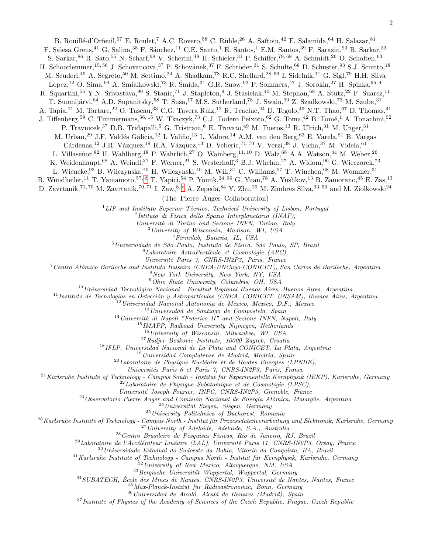B. Rouillé-d'Orfeuil, $^{57}$ E. Roulet, $^7$ A.C. Rovero, $^{58}$ C. Rühle, $^{26}$ A. Saftoiu, $^{42}$ F. Salamida, $^{64}$ H. Salazar, $^{81}$ F. Salesa Greus, <sup>41</sup> G. Salina, <sup>38</sup> F. Sánchez, <sup>11</sup> C.E. Santo, <sup>1</sup> E. Santos, <sup>1</sup> E.M. Santos, <sup>39</sup> F. Sarazin, <sup>93</sup> B. Sarkar, <sup>33</sup> S. Sarkar,  $86$  R. Sato,  $55$  N. Scharf,  $68$  V. Scherini,  $48$  H. Schieler,  $31$  P. Schiffer,  $79,68$  A. Schmidt,  $26$  O. Scholten,  $63$ H. Schoorlemmer,<sup>15, 56</sup> J. Schovancova,<sup>37</sup> P. Schovánek,<sup>37</sup> F. Schröder,<sup>31</sup> S. Schulte,<sup>68</sup> D. Schuster,<sup>93</sup> S.J. Sciutto,<sup>18</sup> M. Scuderi,<sup>49</sup> A. Segreto,<sup>50</sup> M. Settimo,<sup>24</sup> A. Shadkam,<sup>78</sup> R.C. Shellard,<sup>28, 66</sup> I. Sidelnik,<sup>11</sup> G. Sigl,<sup>79</sup> H.H. Silva Lopez,<sup>12</sup> O. Sima, <sup>94</sup> A. Smialkowski,<sup>73</sup> R. Šmída, <sup>31</sup> G.R. Snow, <sup>92</sup> P. Sommers, <sup>47</sup> J. Sorokin, <sup>27</sup> H. Spinka, <sup>95, 4</sup> R. Squartini,<sup>55</sup> Y.N. Srivastava,<sup>90</sup> S. Stanic,<sup>71</sup> J. Stapleton,<sup>9</sup> J. Stasielak,<sup>40</sup> M. Stephan,<sup>68</sup> A. Stutz,<sup>22</sup> F. Suarez,<sup>11</sup> T. Suomijärvi,<sup>64</sup> A.D. Supanitsky,<sup>58</sup> T. Šuša,<sup>17</sup> M.S. Sutherland,<sup>78</sup> J. Swain,<sup>90</sup> Z. Szadkowski,<sup>73</sup> M. Szuba,<sup>31</sup> A. Tapia,<sup>11</sup> M. Tartare,<sup>22</sup> O. Tascau,<sup>33</sup> C.G. Tavera Ruiz,<sup>12</sup> R. Tcaciuc,<sup>24</sup> D. Tegolo,<sup>49</sup> N.T. Thao,<sup>67</sup> D. Thomas,<sup>41</sup> J. Tiffenberg,<sup>59</sup> C. Timmermans,<sup>56, 15</sup> W. Tkaczyk,<sup>73</sup> C.J. Todero Peixoto,<sup>62</sup> G. Toma,<sup>42</sup> B. Tomé,<sup>1</sup> A. Tonachini,<sup>52</sup> P. Travnicek,<sup>37</sup> D.B. Tridapalli,<sup>5</sup> G. Tristram,<sup>6</sup> E. Trovato,<sup>49</sup> M. Tueros,<sup>13</sup> R. Ulrich,<sup>31</sup> M. Unger,<sup>31</sup> M. Urban,<sup>29</sup> J.F. Valdés Galicia,<sup>12</sup> I. Valiño,<sup>13</sup> L. Valore,<sup>14</sup> A.M. van den Berg,<sup>63</sup> E. Varela,<sup>81</sup> B. Vargas  $C\acute{a}rdenas$ ,<sup>12</sup> J.R. Vázquez,<sup>19</sup> R.A. Vázquez,<sup>13</sup> D. Veberic,<sup>71, 70</sup> V. Verzi,<sup>38</sup> J. Vicha,<sup>37</sup> M. Videla,<sup>61</sup> L. Villaseñor,  $82$  H. Wahlberg,  $18$  P. Wahrlich,  $27$  O. Wainberg,  $11, 10$  D. Walz,  $68$  A.A. Watson,  $44$  M. Weber,  $26$ K. Weidenhaupt,<sup>68</sup> A. Weindl,<sup>31</sup> F. Werner,<sup>21</sup> S. Westerhoff,<sup>3</sup> B.J. Whelan,<sup>27</sup> A. Widom,<sup>90</sup> G. Wieczorek,<sup>73</sup> L. Wiencke,  $93$  B. Wilczynska,  $40$  H. Wilczynski,  $40$  M. Will,  $31$  C. Williams,  $57$  T. Winchen,  $68$  M. Wommer,  $31$ B. Wundheiler,<sup>11</sup> T. Yamamoto,<sup>57, [d](#page-5-3)</sup> T. Yapici,<sup>54</sup> P. Younk,<sup>24, 96</sup> G. Yuan,<sup>78</sup> A. Yushkov,<sup>13</sup> B. Zamorano,<sup>45</sup> E. Zas,<sup>13</sup>

D. Zavrtanik,<sup>71, 70</sup> M. Zavrtanik,<sup>70, 71</sup> I. Zaw,<sup>8, [e](#page-5-4)</sup> A. Zepeda, <sup>84</sup> Y. Zhu,<sup>26</sup> M. Zimbres Silva, <sup>33, 53</sup> and M. Ziolkowski<sup>24</sup>

(The Pierre Auger Collaboration)

<sup>1</sup>LIP and Instituto Superior Técnico, Technical University of Lisbon, Portugal

2 *Istituto di Fisica dello Spazio Interplanetario (INAF),*

*Universit`a di Torino and Sezione INFN, Torino, Italy*

<sup>3</sup>*University of Wisconsin, Madison, WI, USA*

<sup>4</sup>*Fermilab, Batavia, IL, USA*

<sup>5</sup>*Universidade de S˜ao Paulo, Instituto de F´ısica, S˜ao Paulo, SP, Brazil*

<sup>6</sup>*Laboratoire AstroParticule et Cosmologie (APC),*

*Universit´e Paris 7, CNRS-IN2P3, Paris, France*

<sup>7</sup>*Centro At´omico Bariloche and Instituto Balseiro (CNEA-UNCuyo-CONICET), San Carlos de Bariloche, Argentina*

<sup>8</sup>*New York University, New York, NY, USA*

<sup>9</sup>*Ohio State University, Columbus, OH, USA*

<sup>10</sup> Universidad Tecnológica Nacional - Facultad Regional Buenos Aires, Buenos Aires, Argentina

<sup>11</sup> Instituto de Tecnologías en Detección y Astropartículas (CNEA, CONICET, UNSAM), Buenos Aires, Argentina

<sup>12</sup>*Universidad Nacional Autonoma de Mexico, Mexico, D.F., Mexico*

<sup>13</sup>*Universidad de Santiago de Compostela, Spain*

<sup>14</sup> Università di Napoli "Federico II" and Sezione INFN, Napoli, Italy

<sup>15</sup>*IMAPP, Radboud University Nijmegen, Netherlands*

<sup>16</sup>*University of Wisconsin, Milwaukee, WI, USA*

<sup>17</sup>*Rudjer Boˇskovic Institute, 10000 Zagreb, Croatia*

<sup>18</sup>*IFLP, Universidad Nacional de La Plata and CONICET, La Plata, Argentina*

<sup>19</sup>*Universidad Complutense de Madrid, Madrid, Spain*

<sup>20</sup>Laboratoire de Physique Nucléaire et de Hautes Energies (LPNHE),

*Universit´es Paris 6 et Paris 7, CNRS-IN2P3, Paris, France*

<sup>21</sup>*Karlsruhe Institute of Technology - Campus South - Institut für Experimentelle Kernphysik (IEKP), Karlsruhe, Germany* 

<sup>22</sup>*Laboratoire de Physique Subatomique et de Cosmologie (LPSC),*

*Universit´e Joseph Fourier, INPG, CNRS-IN2P3, Grenoble, France*

<sup>23</sup> Observatorio Pierre Auger and Comisión Nacional de Energía Atómica, Malargüe, Argentina

<sup>24</sup> Universität Siegen, Siegen, Germany

<sup>25</sup>*University Politehnica of Bucharest, Romania*

<sup>26</sup>Karlsruhe Institute of Technology - Campus North - Institut für Prozessdatenverarbeitung und Elektronik, Karlsruhe, Germany

<sup>27</sup>*University of Adelaide, Adelaide, S.A., Australia*

<sup>28</sup>*Centro Brasileiro de Pesquisas Fisicas, Rio de Janeiro, RJ, Brazil*

<sup>29</sup>Laboratoire de l'Accélérateur Linéaire (LAL), Université Paris 11, CNRS-IN2P3, Orsay, France

<sup>30</sup>*Universidade Estadual do Sudoeste da Bahia, Vitoria da Conquista, BA, Brazil*

<sup>31</sup> Karlsruhe Institute of Technology - Campus North - Institut *für Kernphysik*, Karlsruhe, Germany

<sup>32</sup>*University of New Mexico, Albuquerque, NM, USA*

 $33$ Bergische Universität Wuppertal, Wuppertal, Germany

<sup>34</sup>SUBATECH, École des Mines de Nantes, CNRS-IN2P3, Université de Nantes, Nantes, France

<sup>35</sup>*Max-Planck-Institut f¨ur Radioastronomie, Bonn, Germany*

<sup>36</sup>*Universidad de Alcal´a, Alcal´a de Henares (Madrid), Spain*

<sup>37</sup>*Institute of Physics of the Academy of Sciences of the Czech Republic, Prague, Czech Republic*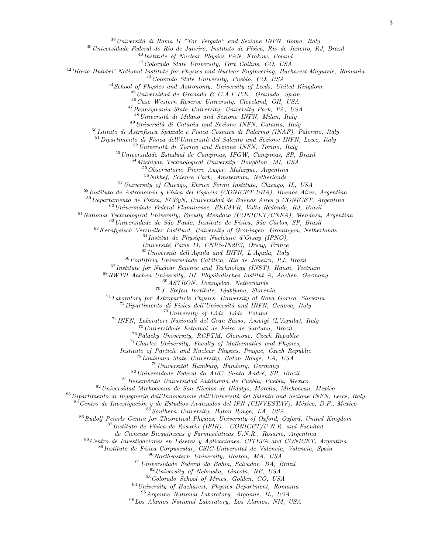*Universit`a di Roma II "Tor Vergata" and Sezione INFN, Roma, Italy*

<sup>39</sup> Universidade Federal do Rio de Janeiro, Instituto de Física, Rio de Janeiro, RJ, Brazil

*Institute of Nuclear Physics PAN, Krakow, Poland*

*Colorado State University, Fort Collins, CO, USA*

*'Horia Hulubei' National Institute for Physics and Nuclear Engineering, Bucharest-Magurele, Romania*

*Colorado State University, Pueblo, CO, USA*

*School of Physics and Astronomy, University of Leeds, United Kingdom*

*Universidad de Granada & C.A.F.P.E., Granada, Spain*

*Case Western Reserve University, Cleveland, OH, USA*

*Pennsylvania State University, University Park, PA, USA*

*Universit`a di Milano and Sezione INFN, Milan, Italy*

*Universit`a di Catania and Sezione INFN, Catania, Italy*

*Istituto di Astrofisica Spaziale e Fisica Cosmica di Palermo (INAF), Palermo, Italy*

<sup>51</sup>Dipartimento di Fisica dell'Università del Salento and Sezione INFN, Lecce, Italy

*Universit`a di Torino and Sezione INFN, Torino, Italy*

*Universidade Estadual de Campinas, IFGW, Campinas, SP, Brazil*

*Michigan Technological University, Houghton, MI, USA*

*Observatorio Pierre Auger, Malarg¨ue, Argentina*

*Nikhef, Science Park, Amsterdam, Netherlands*

*University of Chicago, Enrico Fermi Institute, Chicago, IL, USA*

<sup>58</sup> Instituto de Astronomía y Física del Espacio (CONICET-UBA), Buenos Aires, Argentina

<sup>59</sup> Departamento de Física, FCEyN, Universidad de Buenos Aires y CONICET, Argentina

*Universidade Federal Fluminense, EEIMVR, Volta Redonda, RJ, Brazil*

*National Technological University, Faculty Mendoza (CONICET/CNEA), Mendoza, Argentina*

*Universidade de S˜ao Paulo, Instituto de F´ısica, S˜ao Carlos, SP, Brazil*

*Kernfysisch Versneller Instituut, University of Groningen, Groningen, Netherlands*

<sup>64</sup>Institut de Physique Nucléaire d'Orsay (IPNO),

*Universit´e Paris 11, CNRS-IN2P3, Orsay, France*

*Universit`a dell'Aquila and INFN, L'Aquila, Italy*

<sup>66</sup> Pontifícia Universidade Católica, Rio de Janeiro, RJ, Brazil

*Institute for Nuclear Science and Technology (INST), Hanoi, Vietnam*

*RWTH Aachen University, III. Physikalisches Institut A, Aachen, Germany*

*ASTRON, Dwingeloo, Netherlands*

*J. Stefan Institute, Ljubljana, Slovenia*

*Laboratory for Astroparticle Physics, University of Nova Gorica, Slovenia*

*Dipartimento di Fisica dell'Universit`a and INFN, Genova, Italy*

*University of L´odz, L´odz, Poland*

*INFN, Laboratori Nazionali del Gran Sasso, Assergi (L'Aquila), Italy*

*Universidade Estadual de Feira de Santana, Brazil*

*Palacky University, RCPTM, Olomouc, Czech Republic*

*Charles University, Faculty of Mathematics and Physics,*

*Institute of Particle and Nuclear Physics, Prague, Czech Republic*

*Louisiana State University, Baton Rouge, LA, USA*

<sup>79</sup> Universität Hamburg, Hamburg, Germany

<sup>80</sup> Universidade Federal do ABC, Santo André, SP, Brazil

*Benem´erita Universidad Aut´onoma de Puebla, Puebla, Mexico*

*Universidad Michoacana de San Nicolas de Hidalgo, Morelia, Michoacan, Mexico*

<sup>83</sup>Dipartimento di Ingegneria dell'Innovazione dell'Università del Salento and Sezione INFN, Lecce, Italy

<sup>84</sup> Centro de Investigación y de Estudios Avanzados del IPN (CINVESTAV), México, D.F., Mexico

*Southern University, Baton Rouge, LA, USA*

*Rudolf Peierls Centre for Theoretical Physics, University of Oxford, Oxford, United Kingdom*

*Instituto de F´ısica de Rosario (IFIR) - CONICET/U.N.R. and Facultad*

*de Ciencias Bioqu´ımicas y Farmac´euticas U.N.R., Rosario, Argentina*

*Centro de Investigaciones en L´aseres y Aplicaciones, CITEFA and CONICET, Argentina*

*Instituto de F´ısica Corpuscular, CSIC-Universitat de Val`encia, Valencia, Spain*

*Northeastern University, Boston, MA, USA*

*Universidade Federal da Bahia, Salvador, BA, Brazil*

*University of Nebraska, Lincoln, NE, USA*

*Colorado School of Mines, Golden, CO, USA*

*University of Bucharest, Physics Department, Romania*

*Argonne National Laboratory, Argonne, IL, USA*

*Los Alamos National Laboratory, Los Alamos, NM, USA*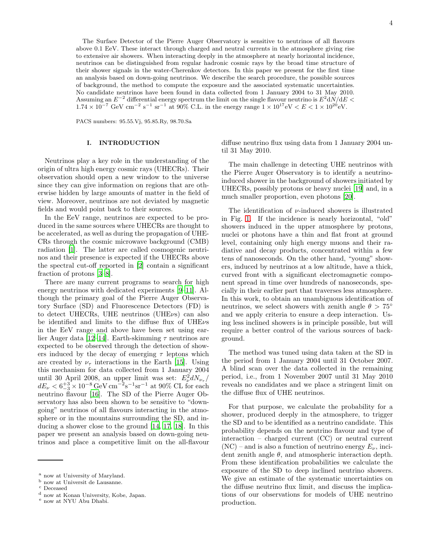The Surface Detector of the Pierre Auger Observatory is sensitive to neutrinos of all flavours above 0.1 EeV. These interact through charged and neutral currents in the atmosphere giving rise to extensive air showers. When interacting deeply in the atmosphere at nearly horizontal incidence, neutrinos can be distinguished from regular hadronic cosmic rays by the broad time structure of their shower signals in the water-Cherenkov detectors. In this paper we present for the first time an analysis based on down-going neutrinos. We describe the search procedure, the possible sources of background, the method to compute the exposure and the associated systematic uncertainties. No candidate neutrinos have been found in data collected from 1 January 2004 to 31 May 2010. Assuming an  $E^{-2}$  differential energy spectrum the limit on the single flavour neutrino is  $E^2 dN/dE$  $1.74 \times 10^{-7}$  GeV cm<sup>-2</sup> s<sup>-1</sup> sr<sup>-1</sup> at 90% C.L. in the energy range  $1 \times 10^{17}$  eV  $\lt E \lt 1 \times 10^{20}$  eV.

PACS numbers: 95.55.Vj, 95.85.Ry, 98.70.Sa

# I. INTRODUCTION

Neutrinos play a key role in the understanding of the origin of ultra high energy cosmic rays (UHECRs). Their observation should open a new window to the universe since they can give information on regions that are otherwise hidden by large amounts of matter in the field of view. Moreover, neutrinos are not deviated by magnetic fields and would point back to their sources.

In the EeV range, neutrinos are expected to be produced in the same sources where UHECRs are thought to be accelerated, as well as during the propagation of UHE-CRs through the cosmic microwave background (CMB) radiation [\[1\]](#page-17-0). The latter are called cosmogenic neutrinos and their presence is expected if the UHECRs above the spectral cut-off reported in [\[2](#page-17-1)] contain a significant fraction of protons [\[3](#page-17-2)[–8\]](#page-17-3).

There are many current programs to search for high energy neutrinos with dedicated experiments [\[9](#page-17-4)[–11\]](#page-17-5). Although the primary goal of the Pierre Auger Observatory Surface (SD) and Fluorescence Detectors (FD) is to detect UHECRs, UHE neutrinos (UHEνs) can also be identified and limits to the diffuse flux of UHEνs in the EeV range and above have been set using ear-lier Auger data [\[12–](#page-17-6)[14\]](#page-17-7). Earth-skimming  $\tau$  neutrinos are expected to be observed through the detection of showers induced by the decay of emerging  $\tau$  leptons which are created by  $\nu_{\tau}$  interactions in the Earth [\[15](#page-17-8)]. Using this mechanism for data collected from 1 January 2004 until 30 April 2008, an upper limit was set:  $E_{\nu}^2 dN_{\nu_{\tau}}/$  $dE_{\nu} < 6^{+3}_{-3} \times 10^{-8} \text{ GeV cm}^{-2} \text{s}^{-1} \text{sr}^{-1}$  at 90% CL for each neutrino flavour [\[16](#page-17-9)]. The SD of the Pierre Auger Observatory has also been shown to be sensitive to "downgoing" neutrinos of all flavours interacting in the atmosphere or in the mountains surrounding the SD, and inducing a shower close to the ground [\[14,](#page-17-7) [17,](#page-17-10) [18](#page-17-11)]. In this paper we present an analysis based on down-going neutrinos and place a competitive limit on the all-flavour

diffuse neutrino flux using data from 1 January 2004 until 31 May 2010.

The main challenge in detecting UHE neutrinos with the Pierre Auger Observatory is to identify a neutrinoinduced shower in the background of showers initiated by UHECRs, possibly protons or heavy nuclei [\[19](#page-17-12)] and, in a much smaller proportion, even photons [\[20\]](#page-17-13).

The identification of  $\nu$ -induced showers is illustrated in Fig. [1.](#page-6-0) If the incidence is nearly horizontal, "old" showers induced in the upper atmosphere by protons, nuclei or photons have a thin and flat front at ground level, containing only high energy muons and their radiative and decay products, concentrated within a few tens of nanoseconds. On the other hand, "young" showers, induced by neutrinos at a low altitude, have a thick, curved front with a significant electromagnetic component spread in time over hundreds of nanoseconds, specially in their earlier part that traverses less atmosphere. In this work, to obtain an unambiguous identification of neutrinos, we select showers with zenith angle  $\theta > 75^{\circ}$ and we apply criteria to ensure a deep interaction. Using less inclined showers is in principle possible, but will require a better control of the various sources of background.

The method was tuned using data taken at the SD in the period from 1 January 2004 until 31 October 2007. A blind scan over the data collected in the remaining period, i.e., from 1 November 2007 until 31 May 2010 reveals no candidates and we place a stringent limit on the diffuse flux of UHE neutrinos.

For that purpose, we calculate the probability for a shower, produced deeply in the atmosphere, to trigger the SD and to be identified as a neutrino candidate. This probability depends on the neutrino flavour and type of interaction – charged current (CC) or neutral current  $(NC)$  – and is also a function of neutrino energy  $E_{\nu}$ , incident zenith angle  $\theta$ , and atmospheric interaction depth. From these identification probabilities we calculate the exposure of the SD to deep inclined neutrino showers. We give an estimate of the systematic uncertainties on the diffuse neutrino flux limit, and discuss the implications of our observations for models of UHE neutrino production.

<span id="page-5-0"></span><sup>a</sup> now at University of Maryland.

<span id="page-5-1"></span> $^{\rm b}$  now at Universit de Lausanne.

<span id="page-5-2"></span><sup>c</sup> Deceased

<span id="page-5-3"></span><sup>d</sup> now at Konan University, Kobe, Japan.

<span id="page-5-4"></span><sup>e</sup> now at NYU Abu Dhabi.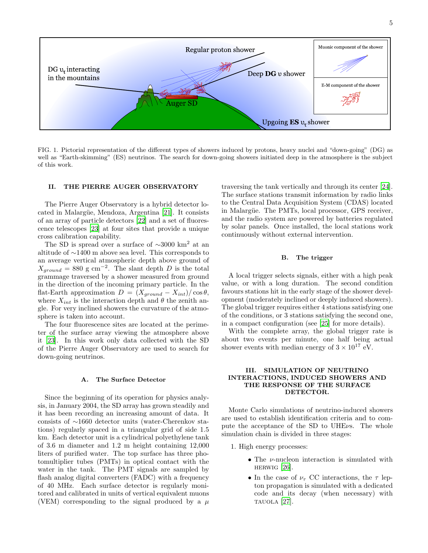

<span id="page-6-0"></span>FIG. 1. Pictorial representation of the different types of showers induced by protons, heavy nuclei and "down-going" (DG) as well as "Earth-skimming" (ES) neutrinos. The search for down-going showers initiated deep in the atmosphere is the subject of this work.

# II. THE PIERRE AUGER OBSERVATORY

The Pierre Auger Observatory is a hybrid detector lo-cated in Malargüe, Mendoza, Argentina [\[21](#page-17-14)]. It consists of an array of particle detectors [\[22](#page-17-15)] and a set of fluorescence telescopes [\[23\]](#page-17-16) at four sites that provide a unique cross calibration capability.

The SD is spread over a surface of  $\sim$ 3000 km<sup>2</sup> at an altitude of ∼1400 m above sea level. This corresponds to an average vertical atmospheric depth above ground of  $X_{ground} = 880$  g cm<sup>-2</sup>. The slant depth D is the total grammage traversed by a shower measured from ground in the direction of the incoming primary particle. In the flat-Earth approximation  $D = (X_{ground} - X_{int})/\cos\theta$ , where  $X_{int}$  is the interaction depth and  $\theta$  the zenith angle. For very inclined showers the curvature of the atmosphere is taken into account.

The four fluorescence sites are located at the perimeter of the surface array viewing the atmosphere above it [\[23](#page-17-16)]. In this work only data collected with the SD of the Pierre Auger Observatory are used to search for down-going neutrinos.

# A. The Surface Detector

Since the beginning of its operation for physics analysis, in January 2004, the SD array has grown steadily and it has been recording an increasing amount of data. It consists of ∼1660 detector units (water-Cherenkov stations) regularly spaced in a triangular grid of side 1.5 km. Each detector unit is a cylindrical polyethylene tank of 3.6 m diameter and 1.2 m height containing 12,000 liters of purified water. The top surface has three photomultiplier tubes (PMTs) in optical contact with the water in the tank. The PMT signals are sampled by flash analog digital converters (FADC) with a frequency of 40 MHz. Each surface detector is regularly monitored and calibrated in units of vertical equivalent muons (VEM) corresponding to the signal produced by a  $\mu$ 

traversing the tank vertically and through its center [\[24\]](#page-18-0). The surface stations transmit information by radio links to the Central Data Acquisition System (CDAS) located in Malargüe. The PMTs, local processor, GPS receiver, and the radio system are powered by batteries regulated by solar panels. Once installed, the local stations work continuously without external intervention.

# B. The trigger

A local trigger selects signals, either with a high peak value, or with a long duration. The second condition favours stations hit in the early stage of the shower development (moderately inclined or deeply induced showers). The global trigger requires either 4 stations satisfying one of the conditions, or 3 stations satisfying the second one, in a compact configuration (see [\[25\]](#page-18-1) for more details).

With the complete array, the global trigger rate is about two events per minute, one half being actual shower events with median energy of  $3 \times 10^{17}$  eV.

# III. SIMULATION OF NEUTRINO INTERACTIONS, INDUCED SHOWERS AND THE RESPONSE OF THE SURFACE DETECTOR.

Monte Carlo simulations of neutrino-induced showers are used to establish identification criteria and to compute the acceptance of the SD to UHE $\nu$ s. The whole simulation chain is divided in three stages:

- 1. High energy processes:
	- The  $\nu$ -nucleon interaction is simulated with herwig [\[26](#page-18-2)].
	- In the case of  $\nu_{\tau}$  CC interactions, the  $\tau$  lepton propagation is simulated with a dedicated code and its decay (when necessary) with TAUOLA [\[27\]](#page-18-3).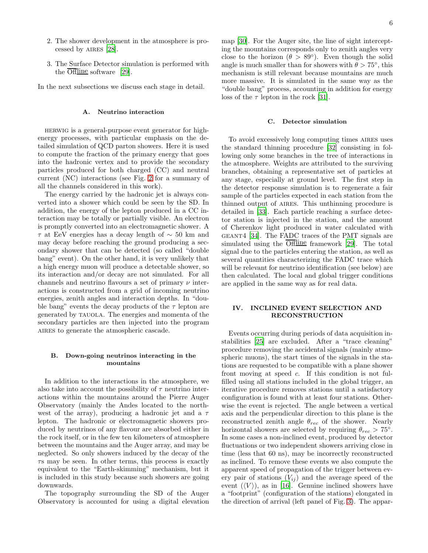- 2. The shower development in the atmosphere is pro-cessed by AIRES [\[28](#page-18-4)].
- 3. The Surface Detector simulation is performed with the  $\overline{\text{Offline}}$  software [\[29](#page-18-5)].

In the next subsections we discuss each stage in detail.

# A. Neutrino interaction

herwig is a general-purpose event generator for highenergy processes, with particular emphasis on the detailed simulation of QCD parton showers. Here it is used to compute the fraction of the primary energy that goes into the hadronic vertex and to provide the secondary particles produced for both charged (CC) and neutral current (NC) interactions (see Fig. [2](#page-8-0) for a summary of all the channels considered in this work).

The energy carried by the hadronic jet is always converted into a shower which could be seen by the SD. In addition, the energy of the lepton produced in a CC interaction may be totally or partially visible. An electron is promptly converted into an electromagnetic shower. A  $\tau$  at EeV energies has a decay length of  $\sim$  50 km and may decay before reaching the ground producing a secondary shower that can be detected (so called "double bang" event). On the other hand, it is very unlikely that a high energy muon will produce a detectable shower, so its interaction and/or decay are not simulated. For all channels and neutrino flavours a set of primary  $\nu$  interactions is constructed from a grid of incoming neutrino energies, zenith angles and interaction depths. In "double bang" events the decay products of the  $\tau$  lepton are generated by tauola. The energies and momenta of the secondary particles are then injected into the program AIRES to generate the atmospheric cascade.

# <span id="page-7-1"></span>B. Down-going neutrinos interacting in the mountains

In addition to the interactions in the atmosphere, we also take into account the possibility of  $\tau$  neutrino interactions within the mountains around the Pierre Auger Observatory (mainly the Andes located to the northwest of the array), producing a hadronic jet and a  $\tau$ lepton. The hadronic or electromagnetic showers produced by neutrinos of any flavour are absorbed either in the rock itself, or in the few ten kilometers of atmosphere between the mountains and the Auger array, and may be neglected. So only showers induced by the decay of the τs may be seen. In other terms, this process is exactly equivalent to the "Earth-skimming" mechanism, but it is included in this study because such showers are going downwards.

The topography surrounding the SD of the Auger Observatory is accounted for using a digital elevation map [\[30\]](#page-18-6). For the Auger site, the line of sight intercepting the mountains corresponds only to zenith angles very close to the horizon  $(\theta > 89^{\circ})$ . Even though the solid angle is much smaller than for showers with  $\ddot{\theta} > 75^{\circ}$ , this mechanism is still relevant because mountains are much more massive. It is simulated in the same way as the "double bang" process, accounting in addition for energy loss of the  $\tau$  lepton in the rock [\[31](#page-18-7)].

#### C. Detector simulation

To avoid excessively long computing times aires uses the standard thinning procedure [\[32](#page-18-8)] consisting in following only some branches in the tree of interactions in the atmosphere. Weights are attributed to the surviving branches, obtaining a representative set of particles at any stage, especially at ground level. The first step in the detector response simulation is to regenerate a fair sample of the particles expected in each station from the thinned output of AIRES. This unthinning procedure is detailed in [\[33\]](#page-18-9). Each particle reaching a surface detector station is injected in the station, and the amount of Cherenkov light produced in water calculated with geant4 [\[34\]](#page-18-10). The FADC traces of the PMT signals are simulated using the  $\overline{\text{Offline}}$  framework [\[29](#page-18-5)]. The total signal due to the particles entering the station, as well as several quantities characterizing the FADC trace which will be relevant for neutrino identification (see below) are then calculated. The local and global trigger conditions are applied in the same way as for real data.

# <span id="page-7-0"></span>IV. INCLINED EVENT SELECTION AND RECONSTRUCTION

Events occurring during periods of data acquisition instabilities [\[25](#page-18-1)] are excluded. After a "trace cleaning" procedure removing the accidental signals (mainly atmospheric muons), the start times of the signals in the stations are requested to be compatible with a plane shower front moving at speed c. If this condition is not fulfilled using all stations included in the global trigger, an iterative procedure removes stations until a satisfactory configuration is found with at least four stations. Otherwise the event is rejected. The angle between a vertical axis and the perpendicular direction to this plane is the reconstructed zenith angle  $\theta_{rec}$  of the shower. Nearly horizontal showers are selected by requiring  $\theta_{rec} > 75^{\circ}$ . In some cases a non-inclined event, produced by detector fluctuations or two independent showers arriving close in time (less that 60 ns), may be incorrectly reconstructed as inclined. To remove these events we also compute the apparent speed of propagation of the trigger between every pair of stations  $(V_{ij})$  and the average speed of the event  $(\langle V \rangle)$ , as in [\[16\]](#page-17-9). Genuine inclined showers have a "footprint" (configuration of the stations) elongated in the direction of arrival (left panel of Fig. [3\)](#page-9-0). The appar-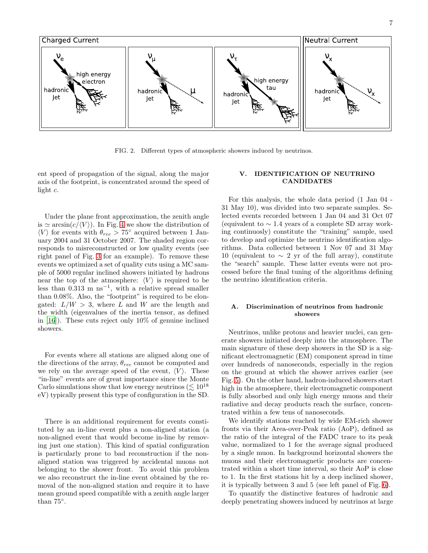

<span id="page-8-0"></span>FIG. 2. Different types of atmospheric showers induced by neutrinos.

ent speed of propagation of the signal, along the major axis of the footprint, is concentrated around the speed of light c.

Under the plane front approximation, the zenith angle is  $\simeq \arcsin(c/\langle V \rangle)$ . In Fig. [4](#page-9-1) we show the distribution of  $\langle V \rangle$  for events with  $\theta_{rec} > 75^{\circ}$  acquired between 1 January 2004 and 31 October 2007. The shaded region corresponds to misreconstructed or low quality events (see right panel of Fig. [3](#page-9-0) for an example). To remove these events we optimized a set of quality cuts using a MC sample of 5000 regular inclined showers initiated by hadrons near the top of the atmosphere:  $\langle V \rangle$  is required to be less than 0.313 m ns<sup>−</sup><sup>1</sup> , with a relative spread smaller than 0.08%. Also, the "footprint" is required to be elongated:  $L/W > 3$ , where L and W are the length and the width (eigenvalues of the inertia tensor, as defined in [\[16\]](#page-17-9)). These cuts reject only 10% of genuine inclined showers.

For events where all stations are aligned along one of the directions of the array,  $\theta_{rec}$  cannot be computed and we rely on the average speed of the event,  $\langle V \rangle$ . These "in-line" events are of great importance since the Monte Carlo simulations show that low energy neutrinos  $(\leq 10^{18})$ eV) typically present this type of configuration in the SD.

There is an additional requirement for events constituted by an in-line event plus a non-aligned station (a non-aligned event that would become in-line by removing just one station). This kind of spatial configuration is particularly prone to bad reconstruction if the nonaligned station was triggered by accidental muons not belonging to the shower front. To avoid this problem we also reconstruct the in-line event obtained by the removal of the non-aligned station and require it to have mean ground speed compatible with a zenith angle larger than  $75^\circ$ .

# <span id="page-8-1"></span>V. IDENTIFICATION OF NEUTRINO **CANDIDATES**

For this analysis, the whole data period (1 Jan 04 - 31 May 10), was divided into two separate samples. Selected events recorded between 1 Jan 04 and 31 Oct 07 (equivalent to  $\sim$  1.4 years of a complete SD array working continuosly) constitute the "training" sample, used to develop and optimize the neutrino identification algorithms. Data collected between 1 Nov 07 and 31 May 10 (equivalent to  $\sim 2$  yr of the full array), constitute the "search" sample. These latter events were not processed before the final tuning of the algorithms defining the neutrino identification criteria.

# A. Discrimination of neutrinos from hadronic showers

Neutrinos, unlike protons and heavier nuclei, can generate showers initiated deeply into the atmosphere. The main signature of these deep showers in the SD is a significant electromagnetic (EM) component spread in time over hundreds of nanoseconds, especially in the region on the ground at which the shower arrives earlier (see Fig. [5\)](#page-9-2). On the other hand, hadron-induced showers start high in the atmosphere, their electromagnetic component is fully absorbed and only high energy muons and their radiative and decay products reach the surface, concentrated within a few tens of nanoseconds.

We identify stations reached by wide EM-rich shower fronts via their Area-over-Peak ratio (AoP), defined as the ratio of the integral of the FADC trace to its peak value, normalized to 1 for the average signal produced by a single muon. In background horizontal showers the muons and their electromagnetic products are concentrated within a short time interval, so their AoP is close to 1. In the first stations hit by a deep inclined shower, it is typically between 3 and 5 (see left panel of Fig. [6\)](#page-10-0).

To quantify the distinctive features of hadronic and deeply penetrating showers induced by neutrinos at large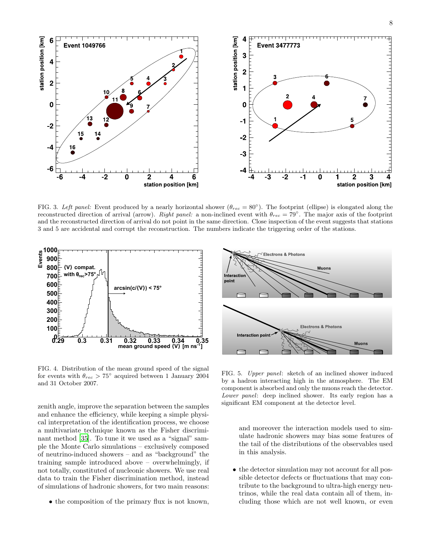

<span id="page-9-0"></span>FIG. 3. Left panel: Event produced by a nearly horizontal shower  $(\theta_{rec} = 80^{\circ})$ . The footprint (ellipse) is elongated along the reconstructed direction of arrival (arrow). *Right panel:* a non-inclined event with  $\theta_{rec} = 79^\circ$ . The major axis of the footprint and the reconstructed direction of arrival do not point in the same direction. Close inspection of the event suggests that stations 3 and 5 are accidental and corrupt the reconstruction. The numbers indicate the triggering order of the stations.



<span id="page-9-1"></span>FIG. 4. Distribution of the mean ground speed of the signal for events with  $\theta_{rec} > 75^{\circ}$  acquired between 1 January 2004 and 31 October 2007.

zenith angle, improve the separation between the samples and enhance the efficiency, while keeping a simple physical interpretation of the identification process, we choose a multivariate technique known as the Fisher discriminant method [\[35\]](#page-18-11). To tune it we used as a "signal" sample the Monte Carlo simulations – exclusively composed of neutrino-induced showers – and as "background" the training sample introduced above – overwhelmingly, if not totally, constituted of nucleonic showers. We use real data to train the Fisher discrimination method, instead of simulations of hadronic showers, for two main reasons:

• the composition of the primary flux is not known,



<span id="page-9-2"></span>FIG. 5. *Upper panel*: sketch of an inclined shower induced by a hadron interacting high in the atmosphere. The EM component is absorbed and only the muons reach the detector. *Lower panel*: deep inclined shower. Its early region has a significant EM component at the detector level.

and moreover the interaction models used to simulate hadronic showers may bias some features of the tail of the distributions of the observables used in this analysis.

• the detector simulation may not account for all possible detector defects or fluctuations that may contribute to the background to ultra-high energy neutrinos, while the real data contain all of them, including those which are not well known, or even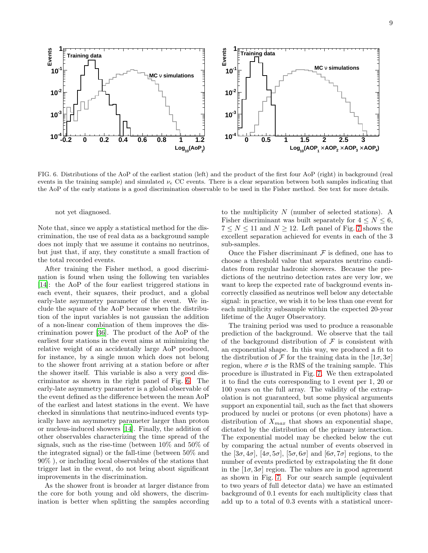

<span id="page-10-0"></span>FIG. 6. Distributions of the AoP of the earliest station (left) and the product of the first four AoP (right) in background (real events in the training sample) and simulated  $\nu_e$  CC events. There is a clear separation between both samples indicating that the AoP of the early stations is a good discrimination observable to be used in the Fisher method. See text for more details.

not yet diagnosed.

Note that, since we apply a statistical method for the discrimination, the use of real data as a background sample does not imply that we assume it contains no neutrinos, but just that, if any, they constitute a small fraction of the total recorded events.

After training the Fisher method, a good discrimination is found when using the following ten variables [\[14\]](#page-17-7): the AoP of the four earliest triggered stations in each event, their squares, their product, and a global early-late asymmetry parameter of the event. We include the square of the AoP because when the distribution of the input variables is not gaussian the addition of a non-linear combination of them improves the discrimination power [\[36](#page-18-12)]. The product of the AoP of the earliest four stations in the event aims at minimizing the relative weight of an accidentally large AoP produced, for instance, by a single muon which does not belong to the shower front arriving at a station before or after the shower itself. This variable is also a very good discriminator as shown in the right panel of Fig. [6.](#page-10-0) The early-late asymmetry parameter is a global observable of the event defined as the difference between the mean AoP of the earliest and latest stations in the event. We have checked in simulations that neutrino-induced events typically have an asymmetry parameter larger than proton or nucleus-induced showers [\[14](#page-17-7)]. Finally, the addition of other observables characterizing the time spread of the signals, such as the rise-time (between 10% and 50% of the integrated signal) or the fall-time (between 50% and 90% ), or including local observables of the stations that trigger last in the event, do not bring about significant improvements in the discrimination.

As the shower front is broader at larger distance from the core for both young and old showers, the discrimination is better when splitting the samples according to the multiplicity  $N$  (number of selected stations). A Fisher discriminant was built separately for  $4 \leq N \leq 6$ ,  $7 \leq N \leq 11$  and  $N \geq 12$ . Left panel of Fig. [7](#page-11-0) shows the excellent separation achieved for events in each of the 3 sub-samples.

Once the Fisher discriminant  $\mathcal F$  is defined, one has to choose a threshold value that separates neutrino candidates from regular hadronic showers. Because the predictions of the neutrino detection rates are very low, we want to keep the expected rate of background events incorrectly classified as neutrinos well below any detectable signal: in practice, we wish it to be less than one event for each multiplicity subsample within the expected 20-year lifetime of the Auger Observatory.

The training period was used to produce a reasonable prediction of the background. We observe that the tail of the background distribution of  $\mathcal F$  is consistent with an exponential shape. In this way, we produced a fit to the distribution of F for the training data in the  $[1\sigma, 3\sigma]$ region, where  $\sigma$  is the RMS of the training sample. This procedure is illustrated in Fig. [7.](#page-11-0) We then extrapolated it to find the cuts corresponding to 1 event per 1, 20 or 100 years on the full array. The validity of the extrapolation is not guaranteed, but some physical arguments support an exponential tail, such as the fact that showers produced by nuclei or protons (or even photons) have a distribution of  $X_{max}$  that shows an exponential shape, dictated by the distribution of the primary interaction. The exponential model may be checked below the cut by comparing the actual number of events observed in the  $[3\sigma, 4\sigma]$ ,  $[4\sigma, 5\sigma]$ ,  $[5\sigma, 6\sigma]$  and  $[6\sigma, 7\sigma]$  regions, to the number of events predicted by extrapolating the fit done in the  $[1\sigma, 3\sigma]$  region. The values are in good agreement as shown in Fig. [7.](#page-11-0) For our search sample (equivalent to two years of full detector data) we have an estimated background of 0.1 events for each multiplicity class that add up to a total of 0.3 events with a statistical uncer-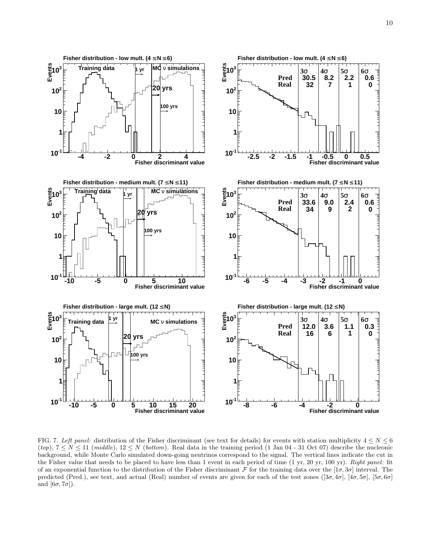

<span id="page-11-0"></span>FIG. 7. Left panel: distribution of the Fisher discriminant (see text for details) for events with station multiplicity  $4 \leq N \leq 6$  $(top)$ ,  $7 \le N \le 11$  (*middle*),  $12 \le N$  (*bottom*). Real data in the training period (1 Jan 04 - 31 Oct 07) describe the nucleonic background, while Monte Carlo simulated down-going neutrinos correspond to the signal. The vertical lines indicate the cut in the Fisher value that needs to be placed to have less than 1 event in each period of time (1 yr, 20 yr, 100 yr). *Right panel:* fit of an exponential function to the distribution of the Fisher discriminant F for the training data over the  $[1\sigma, 3\sigma]$  interval. The predicted (Pred.), see text, and actual (Real) number of events are given for each of the test zones ([3 $\sigma$ , 4 $\sigma$ ], [4 $\sigma$ , 5 $\sigma$ ], [5 $\sigma$ , 6 $\sigma$ ] and  $[6\sigma, 7\sigma]$ ).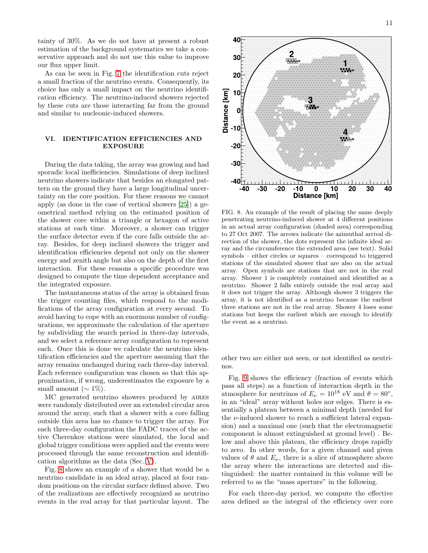tainty of 30%. As we do not have at present a robust estimation of the background systematics we take a conservative approach and do not use this value to improve our flux upper limit.

As can be seen in Fig. [7](#page-11-0) the identification cuts reject a small fraction of the neutrino events. Consequently, its choice has only a small impact on the neutrino identification efficiency. The neutrino-induced showers rejected by these cuts are those interacting far from the ground and similar to nucleonic-induced showers.

# VI. IDENTIFICATION EFFICIENCIES AND EXPOSURE

During the data taking, the array was growing and had sporadic local inefficiencies. Simulations of deep inclined neutrino showers indicate that besides an elongated pattern on the ground they have a large longitudinal uncertainty on the core position. For these reasons we cannot apply (as done in the case of vertical showers [\[25\]](#page-18-1)) a geometrical method relying on the estimated position of the shower core within a triangle or hexagon of active stations at each time. Moreover, a shower can trigger the surface detector even if the core falls outside the array. Besides, for deep inclined showers the trigger and identification efficiencies depend not only on the shower energy and zenith angle but also on the depth of the first interaction. For these reasons a specific procedure was designed to compute the time dependent acceptance and the integrated exposure.

The instantaneous status of the array is obtained from the trigger counting files, which respond to the modifications of the array configuration at every second. To avoid having to cope with an enormous number of configurations, we approximate the calculation of the aperture by subdividing the search period in three-day intervals, and we select a reference array configuration to represent each. Once this is done we calculate the neutrino identification efficiencies and the aperture assuming that the array remains unchanged during each three-day interval. Each reference configuration was chosen so that this approximation, if wrong, underestimates the exposure by a small amount ( $\sim 1\%$ ).

MC generated neutrino showers produced by AIRES were randomly distributed over an extended circular area around the array, such that a shower with a core falling outside this area has no chance to trigger the array. For each three-day configuration the FADC traces of the active Cherenkov stations were simulated, the local and global trigger conditions were applied and the events were processed through the same reconstruction and identification algorithms as the data (Sec. [V\)](#page-8-1).

Fig. [8](#page-12-0) shows an example of a shower that would be a neutrino candidate in an ideal array, placed at four random positions on the circular surface defined above. Two of the realizations are effectively recognized as neutrino events in the real array for that particular layout. The

<span id="page-12-0"></span> $-20$  $-30$ -40 ⊟ -40  $-30$  $-20$  $-10$  $\bf{0}$ 10 20 30 40 Distance [km] FIG. 8. An example of the result of placing the same deeply penetrating neutrino-induced shower at 4 different positions in an actual array configuration (shaded area) corresponding to 27 Oct 2007. The arrows indicate the azimuthal arrival direction of the shower, the dots represent the infinite ideal array and the circumference the extended area (see text). Solid symbols – either circles or squares – correspond to triggered stations of the simulated shower that are also on the actual array. Open symbols are stations that are not in the real array. Shower 1 is completely contained and identified as a neutrino. Shower 2 falls entirely outside the real array and it does not trigger the array. Although shower 3 triggers the array, it is not identified as a neutrino because the earliest three stations are not in the real array. Shower 4 loses some stations but keeps the earliest which are enough to identify the event as a neutrino.

other two are either not seen, or not identified as neutrinos.

Fig. [9](#page-13-0) shows the efficiency (fraction of events which pass all steps) as a function of interaction depth in the atmosphere for neutrinos of  $E_{\nu} = 10^{18}$  eV and  $\theta = 80^{\circ}$ , in an "ideal" array without holes nor edges. There is essentially a plateau between a minimal depth (needed for the  $\nu$ -induced shower to reach a sufficient lateral expansion) and a maximal one (such that the electromagnetic component is almost extinguished at ground level) . Below and above this plateau, the efficiency drops rapidly to zero. In other words, for a given channel and given values of  $\theta$  and  $E_{\nu}$ , there is a slice of atmosphere above the array where the interactions are detected and distinguished: the matter contained in this volume will be referred to as the "mass aperture" in the following.

For each three-day period, we compute the effective area defined as the integral of the efficiency over core

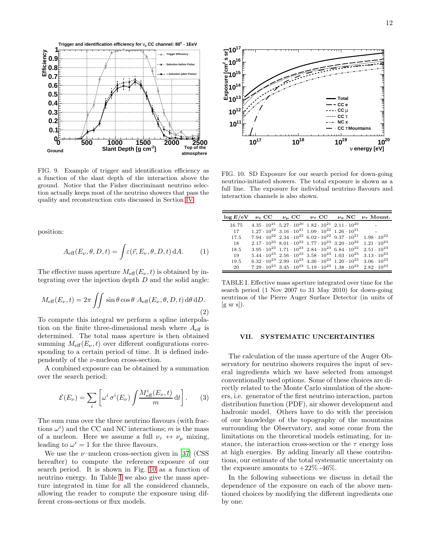

<span id="page-13-0"></span>FIG. 9. Example of trigger and identification efficiency as a function of the slant depth of the interaction above the ground. Notice that the Fisher discriminant neutrino selection actually keeps most of the neutrino showers that pass the quality and reconstruction cuts discussed in Section [IV.](#page-7-0)

position:

$$
A_{\text{eff}}(E_{\nu}, \theta, D, t) = \int \varepsilon(\vec{r}, E_{\nu}, \theta, D, t) \, dA. \tag{1}
$$

The effective mass aperture  $M_{\text{eff}}(E_{\nu}, t)$  is obtained by integrating over the injection depth  $D$  and the solid angle:

$$
M_{\text{eff}}(E_{\nu},t) = 2\pi \iint \sin\theta \cos\theta \, A_{\text{eff}}(E_{\nu},\theta,D,t) \, d\theta \, dD. \tag{2}
$$

To compute this integral we perform a spline interpolation on the finite three-dimensional mesh where  $A_{\text{eff}}$  is determined. The total mass aperture is then obtained summing  $M_{\text{eff}}(E_{\nu}, t)$  over different configurations corresponding to a certain period of time. It is defined independently of the  $\nu$ -nucleon cross-section.

A combined exposure can be obtained by a summation over the search period:

<span id="page-13-3"></span>
$$
\mathcal{E}(E_{\nu}) = \sum_{i} \left[ \omega^{i} \sigma^{i}(E_{\nu}) \int \frac{M_{\text{eff}}^{i}(E_{\nu}, t)}{m} dt \right].
$$
 (3)

The sum runs over the three neutrino flavours (with fractions  $\omega^{i}$ ) and the CC and NC interactions; m is the mass of a nucleon. Here we assume a full  $\nu_{\tau} \leftrightarrow \nu_{\mu}$  mixing, leading to  $\omega^i = 1$  for the three flavours.

We use the  $\nu$ -nucleon cross-section given in [\[37\]](#page-18-13) (CSS) hereafter) to compute the reference exposure of our search period. It is shown in Fig. [10](#page-13-1) as a function of neutrino energy. In Table [I](#page-13-2) we also give the mass aperture integrated in time for all the considered channels, allowing the reader to compute the exposure using different cross-sections or flux models.



<span id="page-13-1"></span>FIG. 10. SD Exposure for our search period for down-going neutrino-initiated showers. The total exposure is shown as a full line. The exposure for individual neutrino flavours and interaction channels is also shown.

| $\log E/\mathrm{eV}$ | $\nu_e \text{ CC}$ |                                                                                     | $\nu_{\mu}$ CC $\nu_{\tau}$ CC $\nu_{x}$ NC $\nu_{\tau}$ Mount.                                          |
|----------------------|--------------------|-------------------------------------------------------------------------------------|----------------------------------------------------------------------------------------------------------|
| 16.75                |                    | $4.35 \cdot 10^{21}$ $5.27 \cdot 10^{20}$ $1.82 \cdot 10^{21}$ $2.11 \cdot 10^{20}$ |                                                                                                          |
| 17                   |                    | $1.27 \cdot 10^{22}$ $3.16 \cdot 10^{21}$ $1.09 \cdot 10^{22}$ $1.26 \cdot 10^{21}$ |                                                                                                          |
| 17.5                 |                    |                                                                                     | $7.94 \cdot 10^{22}$ $2.34 \cdot 10^{22}$ $6.02 \cdot 10^{22}$ $9.37 \cdot 10^{21}$ $1.98 \cdot 10^{22}$ |
| 18                   |                    |                                                                                     | $2.17 \cdot 10^{23}$ 8.01 $\cdot 10^{22}$ 1.77 $\cdot 10^{23}$ 3.20 $\cdot 10^{22}$ 1.21 $\cdot 10^{23}$ |
| 18.5                 |                    |                                                                                     | $3.95 \cdot 10^{23}$ $1.71 \cdot 10^{23}$ $2.84 \cdot 10^{23}$ $6.84 \cdot 10^{22}$ $2.51 \cdot 10^{23}$ |
| 19                   |                    |                                                                                     | $5.44 \cdot 10^{23}$ $2.56 \cdot 10^{23}$ $3.58 \cdot 10^{23}$ $1.03 \cdot 10^{23}$ $3.13 \cdot 10^{23}$ |
| 19.5                 |                    |                                                                                     | $6.32 \cdot 10^{23}$ $2.99 \cdot 10^{23}$ $4.36 \cdot 10^{23}$ $1.20 \cdot 10^{23}$ $3.06 \cdot 10^{23}$ |
| 20                   |                    |                                                                                     | $7.29 \cdot 10^{23}$ $3.45 \cdot 10^{23}$ $5.19 \cdot 10^{23}$ $1.38 \cdot 10^{23}$ $2.82 \cdot 10^{23}$ |

<span id="page-13-2"></span>TABLE I. Effective mass aperture integrated over time for the search period (1 Nov 2007 to 31 May 2010) for down-going neutrinos of the Pierre Auger Surface Detector (in units of  $[g \operatorname{sr} s]$ .

#### VII. SYSTEMATIC UNCERTAINTIES

The calculation of the mass aperture of the Auger Observatory for neutrino showers requires the input of several ingredients which we have selected from amongst conventionally used options. Some of these choices are directly related to the Monte Carlo simulation of the showers, i.e. generator of the first neutrino interaction, parton distribution function (PDF), air shower development and hadronic model. Others have to do with the precision of our knowledge of the topography of the mountains surrounding the Observatory, and some come from the limitations on the theoretical models estimating, for instance, the interaction cross-section or the  $\tau$  energy loss at high energies. By adding linearly all these contributions, our estimate of the total systematic uncertainty on the exposure amounts to  $+22\%$  -46%.

In the following subsections we discuss in detail the dependence of the exposure on each of the above mentioned choices by modifying the different ingredients one by one.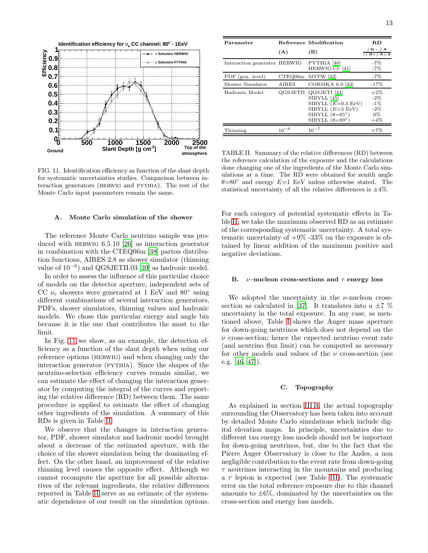

<span id="page-14-0"></span>FIG. 11. Identification efficiency as function of the slant depth for systematic uncertainties studies. Comparison between interaction generators (herwig and pythia). The rest of the Monte Carlo input parameters remain the same.

# A. Monte Carlo simulation of the shower

The reference Monte Carlo neutrino sample was produced with herwig 6.5.10 [\[26\]](#page-18-2) as interaction generator in combination with the CTEQ06m [\[38](#page-18-14)] parton distribution functions, AIRES 2.8 as shower simulator (thinning value of 10<sup>−</sup><sup>6</sup> ) and QGSJETII.03 [\[39](#page-18-15)] as hadronic model.

In order to assess the influence of this particular choice of models on the detector aperture, independent sets of CC  $\nu_e$  showers were generated at 1 EeV and 80 $\degree$  using different combinations of several interaction generators, PDFs, shower simulators, thinning values and hadronic models. We chose this particular energy and angle bin because it is the one that contributes the most to the limit.

In Fig. [11](#page-14-0) we show, as an example, the detection efficiency as a function of the slant depth when using our reference options (herwig) and when changing only the interaction generator (pythia). Since the shapes of the neutrino-selection efficiency curves remain similar, we can estimate the effect of changing the interaction generator by computing the integral of the curves and reporting the relative difference (RD) between them. The same procedure is applied to estimate the effect of changing other ingredients of the simulation. A summary of this RDs is given in Table [II.](#page-14-1)

We observe that the changes in interaction generator, PDF, shower simulator and hadronic model brought about a decrease of the estimated aperture, with the choice of the shower simulation being the dominating effect. On the other hand, an improvement of the relative thinning level causes the opposite effect. Although we cannot recompute the aperture for all possible alternatives of the relevant ingredients, the relative differences reported in Table [II](#page-14-1) serve as an estimate of the systematic dependence of our result on the simulation options.

| Parameter                    |              | Reference Modification                                                                                                                                             | $_{\rm RD}$                                                  |  |
|------------------------------|--------------|--------------------------------------------------------------------------------------------------------------------------------------------------------------------|--------------------------------------------------------------|--|
|                              | (A)          | (B)                                                                                                                                                                | $\int \mathbf{B} - \int \mathbf{A}$<br>$(\int B + \int A)/2$ |  |
| Interaction generator HERWIG |              | PYTHIA [40]<br>$HERWIG++ [41]$                                                                                                                                     | $-7%$<br>$-7%$                                               |  |
| PDF (gen. level)             | CTEQ06m      | MSTW [42]                                                                                                                                                          | $-7%$                                                        |  |
| Shower Simulator             | <b>AIRES</b> | CORSIKA 6.9 [43]                                                                                                                                                   | $-17%$                                                       |  |
| Hadronic Model               |              | QGSJETII QGSJETI [44]<br>SIBYLL [45]<br>SIBYLL $(E=0.3 \text{ EeV})$<br>SIBYLL $(E=3 \text{ EeV})$<br>SIBYLL $(\theta = 85^{\circ})$<br>SIBYLL $(\theta=89^\circ)$ | $+2\%$<br>$-2\%$<br>$-1\%$<br>$-2\%$<br>$0\%$<br>$+4%$       |  |
| Thinning                     | $10^{-6}$    | $10^{-7}$                                                                                                                                                          | $+7%$                                                        |  |

<span id="page-14-1"></span>TABLE II. Summary of the relative differences (RD) between the reference calculation of the exposure and the calculations done changing one of the ingredients of the Monte Carlo simulations at a time. The RD were obtained for zenith angle  $\theta=80^{\circ}$  and energy  $E=1$  EeV unless otherwise stated. The statistical uncertainty of all the relative differences is  $\pm 4\%$ .

For each category of potential systematic effects in Table [II,](#page-14-1) we take the maximum observed RD as an estimate of the corresponding systematic uncertainty. A total systematic uncertainty of  $+9\%$  -33% on the exposure is obtained by linear addition of the maximum positive and negative deviations.

# B. *ν*–nucleon cross-sections and  $\tau$  energy loss

We adopted the uncertainty in the  $\nu$ -nucleon cross-section as calculated in [\[37\]](#page-18-13). It translates into a  $\pm 7$  % uncertainty in the total exposure. In any case, as mentioned above, Table [I](#page-13-2) shows the Auger mass aperture for down-going neutrinos which does not depend on the  $\nu$  cross-section; hence the expected neutrino event rate (and neutrino flux limit) can be computed as necessary for other models and values of the  $\nu$  cross-section (see e.g. [\[46,](#page-18-22) [47](#page-18-23)]).

#### C. Topography

As explained in section [III B,](#page-7-1) the actual topography surrounding the Observatory has been taken into account by detailed Monte Carlo simulations which include digital elevation maps. In principle, uncertainties due to different tau energy loss models should not be important for down-going neutrinos, but, due to the fact that the Pierre Auger Observatory is close to the Andes, a non negligible contribution to the event rate from down-going  $\tau$  neutrinos interacting in the mountains and producing a  $\tau$  lepton is expected (see Table [III\)](#page-16-0). The systematic error on the total reference exposure due to this channel amounts to  $\pm 6\%$ , dominated by the uncertainties on the cross-section and energy loss models.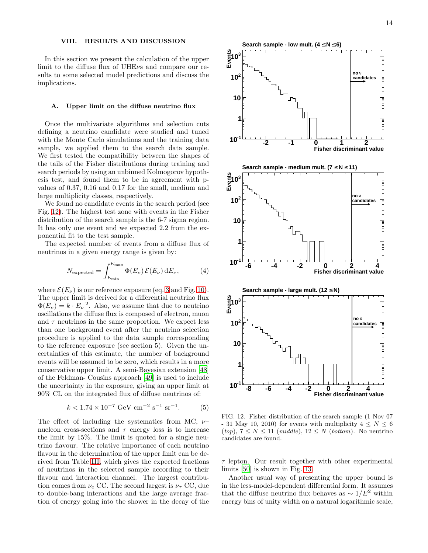# VIII. RESULTS AND DISCUSSION

In this section we present the calculation of the upper limit to the diffuse flux of UHEνs and compare our results to some selected model predictions and discuss the implications.

#### A. Upper limit on the diffuse neutrino flux

Once the multivariate algorithms and selection cuts defining a neutrino candidate were studied and tuned with the Monte Carlo simulations and the training data sample, we applied them to the search data sample. We first tested the compatibility between the shapes of the tails of the Fisher distributions during training and search periods by using an unbinned Kolmogorov hypothesis test, and found them to be in agreement with pvalues of 0.37, 0.16 and 0.17 for the small, medium and large multiplicity classes, respectively.

We found no candidate events in the search period (see Fig. [12\)](#page-15-0). The highest test zone with events in the Fisher distribution of the search sample is the 6-7 sigma region. It has only one event and we expected 2.2 from the exponential fit to the test sample.

The expected number of events from a diffuse flux of neutrinos in a given energy range is given by:

$$
N_{\text{expected}} = \int_{E_{\text{min}}}^{E_{\text{max}}} \Phi(E_{\nu}) \, \mathcal{E}(E_{\nu}) \, \mathrm{d}E_{\nu},\tag{4}
$$

where  $\mathcal{E}(E_{\nu})$  is our reference exposure (eq. [3](#page-13-3) and Fig. [10\)](#page-13-1). The upper limit is derived for a differential neutrino flux  $\Phi(E_{\nu}) = k \cdot E_{\nu}^{-2}$ . Also, we assume that due to neutrino oscillations the diffuse flux is composed of electron, muon and  $\tau$  neutrinos in the same proportion. We expect less than one background event after the neutrino selection procedure is applied to the data sample corresponding to the reference exposure (see section 5). Given the uncertainties of this estimate, the number of background events will be assumed to be zero, which results in a more conservative upper limit. A semi-Bayesian extension [\[48](#page-18-24)] of the Feldman- Cousins approach [\[49](#page-18-25)] is used to include the uncertainty in the exposure, giving an upper limit at 90% CL on the integrated flux of diffuse neutrinos of:

$$
k < 1.74 \times 10^{-7} \text{ GeV cm}^{-2} \text{ s}^{-1} \text{ sr}^{-1}.
$$
 (5)

The effect of including the systematics from MC,  $\nu$ – nucleon cross-sections and  $\tau$  energy loss is to increase the limit by 15%. The limit is quoted for a single neutrino flavour. The relative importance of each neutrino flavour in the determination of the upper limit can be derived from Table [III,](#page-16-0) which gives the expected fractions of neutrinos in the selected sample according to their flavour and interaction channel. The largest contribution comes from  $\nu_e$  CC. The second largest is  $\nu_\tau$  CC, due to double-bang interactions and the large average fraction of energy going into the shower in the decay of the



<span id="page-15-0"></span>FIG. 12. Fisher distribution of the search sample (1 Nov 07 - 31 May 10, 2010) for events with multiplicity  $4 \leq N \leq 6$  $(top)$ ,  $7 \leq N \leq 11$  (*middle*),  $12 \leq N$  (*bottom*). No neutrino candidates are found.

 $\tau$  lepton. Our result together with other experimental limits [\[50\]](#page-18-26) is shown in Fig. [13.](#page-16-1)

Another usual way of presenting the upper bound is in the less-model-dependent differential form. It assumes that the diffuse neutrino flux behaves as  $\sim 1/E^2$  within energy bins of unity width on a natural logarithmic scale,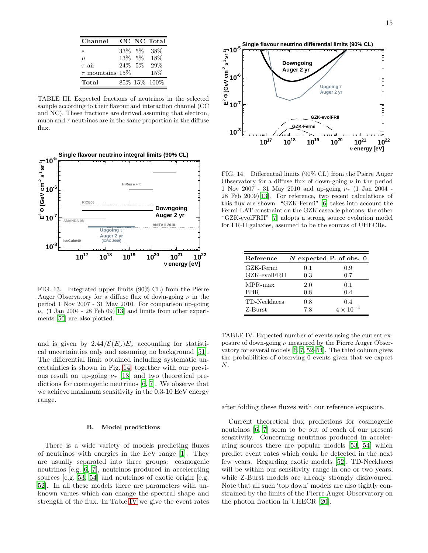| Channel              |           |            | CC NC Total  |
|----------------------|-----------|------------|--------------|
| $\epsilon$           |           | 33\% 5\%   | 38%          |
| $\mu$                |           | $13\%$ 5\% | 18\%         |
| $\tau$ air           | $24\%$ 5% |            | 29\%         |
| $\tau$ mountains 15% |           |            | 15%          |
| Total                |           |            | 85% 15% 100% |

<span id="page-16-0"></span>TABLE III. Expected fractions of neutrinos in the selected sample according to their flavour and interaction channel (CC and NC). These fractions are derived assuming that electron, muon and  $\tau$  neutrinos are in the same proportion in the diffuse flux.



<span id="page-16-1"></span>FIG. 13. Integrated upper limits (90% CL) from the Pierre Auger Observatory for a diffuse flux of down-going  $\nu$  in the period 1 Nov 2007 - 31 May 2010. For comparison up-going  $\nu_{\tau}$  (1 Jan 2004 - 28 Feb 09)[\[13](#page-17-17)] and limits from other experiments [\[50\]](#page-18-26) are also plotted.

and is given by  $2.44/\mathcal{E}(E_{\nu})E_{\nu}$  accounting for statistical uncertainties only and assuming no background [\[51\]](#page-18-27). The differential limit obtained including systematic uncertainties is shown in Fig. [14,](#page-16-2) together with our previous result on up-going  $\nu_{\tau}$  [\[13\]](#page-17-17) and two theoretical predictions for cosmogenic neutrinos [\[6](#page-17-18), [7](#page-17-19)]. We observe that we achieve maximum sensitivity in the 0.3-10 EeV energy range.

### B. Model predictions

There is a wide variety of models predicting fluxes of neutrinos with energies in the EeV range [\[1\]](#page-17-0). They are usually separated into three groups: cosmogenic neutrinos [e.g. [6](#page-17-18), [7\]](#page-17-19), neutrinos produced in accelerating sources [e.g. [53](#page-18-28), [54](#page-18-29)] and neutrinos of exotic origin [e.g. [52\]](#page-18-30). In all these models there are parameters with unknown values which can change the spectral shape and strength of the flux. In Table [IV](#page-16-3) we give the event rates



<span id="page-16-2"></span>FIG. 14. Differential limits (90% CL) from the Pierre Auger Observatory for a diffuse flux of down-going  $\nu$  in the period 1 Nov 2007 - 31 May 2010 and up-going  $\nu_{\tau}$  (1 Jan 2004 -28 Feb 2009)[\[13\]](#page-17-17). For reference, two recent calculations of this flux are shown: "GZK-Fermi" [\[6\]](#page-17-18) takes into account the Fermi-LAT constraint on the GZK cascade photons; the other "GZK-evolFRII" [\[7\]](#page-17-19) adopts a strong source evolution model for FR-II galaxies, assumed to be the sources of UHECRs.

| Reference    | N expected P. of obs. 0 |                    |
|--------------|-------------------------|--------------------|
| GZK-Fermi    | 0.1                     | 0.9                |
| GZK-evolFRII | 0.3                     | 0.7                |
| MPR-max      | 2.0                     | 0.1                |
| BBR.         | 0.8                     | 0.4                |
| TD-Necklaces | 0.8                     | 0.4                |
| Z-Burst      | 7.8                     | $4 \times 10^{-4}$ |

<span id="page-16-3"></span>TABLE IV. Expected number of events using the current exposure of down-going  $\nu$  measured by the Pierre Auger Observatory for several models [\[6,](#page-17-18) [7](#page-17-19), [52](#page-18-30)[–54\]](#page-18-29). The third column gives the probabilities of observing 0 events given that we expect N.

after folding these fluxes with our reference exposure.

Current theoretical flux predictions for cosmogenic neutrinos [\[6,](#page-17-18) [7\]](#page-17-19) seem to be out of reach of our present sensitivity. Concerning neutrinos produced in accelerating sources there are popular models [\[53,](#page-18-28) [54](#page-18-29)] which predict event rates which could be detected in the next few years. Regarding exotic models [\[52](#page-18-30)], TD-Necklaces will be within our sensitivity range in one or two years, while Z-Burst models are already strongly disfavoured. Note that all such 'top down' models are also tightly constrained by the limits of the Pierre Auger Observatory on the photon fraction in UHECR [\[20\]](#page-17-13).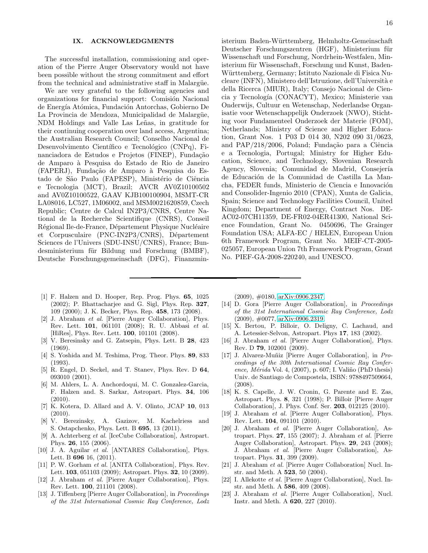# IX. ACKNOWLEDGMENTS

The successful installation, commissioning and operation of the Pierre Auger Observatory would not have been possible without the strong commitment and effort from the technical and administrative staff in Malargüe.

We are very grateful to the following agencies and organizations for financial support: Comisión Nacional de Energía Atómica, Fundación Antorchas, Gobierno De La Provincia de Mendoza, Municipalidad de Malargüe, NDM Holdings and Valle Las Leñas, in gratitude for their continuing cooperation over land access, Argentina; the Australian Research Council; Conselho Nacional de Desenvolvimento Científico e Tecnológico (CNPq), Financiadora de Estudos e Projetos (FINEP), Fundação de Amparo `a Pesquisa do Estado de Rio de Janeiro (FAPERJ), Fundação de Amparo à Pesquisa do Estado de São Paulo (FAPESP), Ministério de Ciência e Tecnologia (MCT), Brazil; AVCR AV0Z10100502 and AV0Z10100522, GAAV KJB100100904, MSMT-CR LA08016, LC527, 1M06002, and MSM0021620859, Czech Republic; Centre de Calcul IN2P3/CNRS, Centre National de la Recherche Scientifique (CNRS), Conseil Régional Ile-de-France, Département Physique Nucléaire et Corpusculaire (PNC-IN2P3/CNRS), Département Sciences de l'Univers (SDU-INSU/CNRS), France; Bundesministerium für Bildung und Forschung (BMBF), Deutsche Forschungsgemeinschaft (DFG), Finanzmin16

isterium Baden-W¨urttemberg, Helmholtz-Gemeinschaft Deutscher Forschungszentren (HGF), Ministerium für Wissenschaft und Forschung, Nordrhein-Westfalen, Ministerium für Wissenschaft, Forschung und Kunst, Baden-Württemberg, Germany; Istituto Nazionale di Fisica Nucleare (INFN), Ministero dell'Istruzione, dell'Università e della Ricerca (MIUR), Italy; Consejo Nacional de Ciencia y Tecnología (CONACYT), Mexico; Ministerie van Onderwijs, Cultuur en Wetenschap, Nederlandse Organisatie voor Wetenschappelijk Onderzoek (NWO), Stichting voor Fundamenteel Onderzoek der Materie (FOM), Netherlands; Ministry of Science and Higher Education, Grant Nos. 1 P03 D 014 30, N202 090 31/0623, and PAP/218/2006, Poland; Fundação para a Ciência e a Tecnologia, Portugal; Ministry for Higher Education, Science, and Technology, Slovenian Research Agency, Slovenia; Comunidad de Madrid, Consejería de Educación de la Comunidad de Castilla La Mancha, FEDER funds, Ministerio de Ciencia e Innovación and Consolider-Ingenio 2010 (CPAN), Xunta de Galicia, Spain; Science and Technology Facilities Council, United Kingdom; Department of Energy, Contract Nos. DE-AC02-07CH11359, DE-FR02-04ER41300, National Science Foundation, Grant No. 0450696, The Grainger Foundation USA; ALFA-EC / HELEN, European Union 6th Framework Program, Grant No. MEIF-CT-2005- 025057, European Union 7th Framework Program, Grant No. PIEF-GA-2008-220240, and UNESCO.

- <span id="page-17-0"></span>[1] F. Halzen and D. Hooper, Rep. Prog. Phys. 65, 1025 (2002); P. Bhattacharjee and G. Sigl, Phys. Rep. 327, 109 (2000); J. K. Becker, Phys. Rep. 458, 173 (2008).
- <span id="page-17-1"></span>[2] J. Abraham *et al.* [Pierre Auger Collaboration], Phys. Rev. Lett. 101, 061101 (2008); R. U. Abbasi *et al.* [HiRes], Phys. Rev. Lett. **100**, 101101 (2008).
- <span id="page-17-2"></span>[3] V. Beresinsky and G. Zatsepin, Phys. Lett. B 28, 423 (1969).
- [4] S. Yoshida and M. Teshima, Prog. Theor. Phys. 89, 833 (1993).
- [5] R. Engel, D. Seckel, and T. Stanev, Phys. Rev. D 64, 093010 (2001).
- <span id="page-17-18"></span>[6] M. Ahlers, L. A. Anchordoqui, M. C. Gonzalez-Garcia, F. Halzen and. S. Sarkar, Astropart. Phys. 34, 106 (2010).
- <span id="page-17-19"></span>[7] K. Kotera, D. Allard and A. V. Olinto, JCAP 10, 013 (2010).
- <span id="page-17-3"></span>[8] V. Berezinsky, A. Gazizov, M. Kachelriess and S. Ostapchenko, Phys. Lett. B 695, 13 (2011).
- <span id="page-17-4"></span>[9] A. Achterberg *et al.* [IceCube Collaboration], Astropart. Phys. 26, 155 (2006).
- [10] J. A. Aguilar *et al.* [ANTARES Collaboration], Phys. Lett. B **696** 16, (2011).
- <span id="page-17-5"></span>[11] P. W. Gorham *et al.* [ANITA Collaboration], Phys. Rev. Lett. **103**, 051103 (2009); Astropart. Phys. **32**, 10 (2009).
- <span id="page-17-6"></span>[12] J. Abraham *et al.* [Pierre Auger Collaboration], Phys. Rev. Lett. 100, 211101 (2008).
- <span id="page-17-17"></span>[13] J. Tiffenberg [Pierre Auger Collaboration], in *Proceedings of the 31st International Cosmic Ray Conference, Lodz*

(2009), #0180, [arXiv:0906.2347.](http://arxiv.org/abs/0906.2347)

- <span id="page-17-7"></span>[14] D. Gora [Pierre Auger Collaboration], in *Proceedings of the 31st International Cosmic Ray Conference, Lodz* (2009), #0077, [arXiv:0906.2319.](http://arxiv.org/abs/0906.2319)
- <span id="page-17-8"></span>[15] X. Bertou, P. Billoir, O. Deligny, C. Lachaud, and A. Letessier-Selvon, Astropart. Phys 17, 183 (2002).
- <span id="page-17-9"></span>[16] J. Abraham *et al.* [Pierre Auger Collaboration], Phys. Rev. D 79, 102001 (2009).
- <span id="page-17-10"></span>[17] J. Alvarez-Muñiz [Pierre Auger Collaboration], in *Proceedings of the 30th International Cosmic Ray Conference, Mérida* Vol. 4, (2007), p. 607; I. Valiño (PhD thesis) Univ. de Santiago de Compostela, ISBN: 9788497509664, (2008).
- <span id="page-17-11"></span>[18] K. S. Capelle, J. W. Cronin, G. Parente and E. Zas, Astropart. Phys. 8, 321 (1998); P. Billoir [Pierre Auger Collaboration], J. Phys. Conf. Ser. 203, 012125 (2010).
- <span id="page-17-12"></span>[19] J. Abraham *et al.* [Pierre Auger Collaboration], Phys. Rev. Lett. 104, 091101 (2010).
- <span id="page-17-13"></span>[20] J. Abraham *et al.* [Pierre Auger Collaboration], Astropart. Phys. 27, 155 (2007); J. Abraham *et al.* [Pierre Auger Collaboration], Astropart. Phys. 29, 243 (2008); J. Abraham *et al.* [Pierre Auger Collaboration], Astropart. Phys. 31, 399 (2009).
- <span id="page-17-14"></span>[21] J. Abraham *et al.* [Pierre Auger Collaboration] Nucl. Instr. and Meth. A 523, 50 (2004).
- <span id="page-17-15"></span>[22] I. Allekotte *et al.* [Pierre Auger Collaboration], Nucl. Instr. and Meth. A 586, 409 (2008).
- <span id="page-17-16"></span>[23] J. Abraham *et al.* [Pierre Auger Collaboration], Nucl. Instr. and Meth. A 620, 227 (2010).